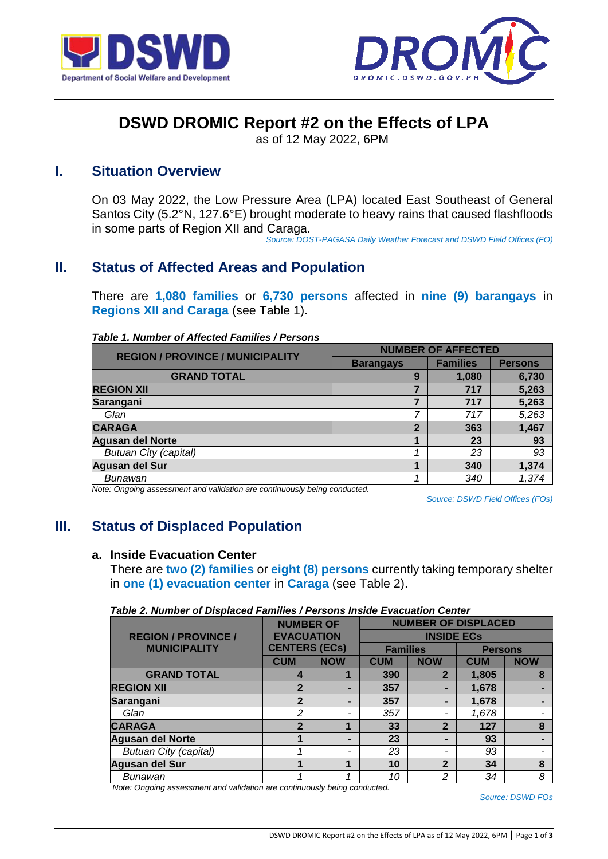



# **DSWD DROMIC Report #2 on the Effects of LPA**

as of 12 May 2022, 6PM

# **I. Situation Overview**

On 03 May 2022, the Low Pressure Area (LPA) located East Southeast of General Santos City (5.2°N, 127.6°E) brought moderate to heavy rains that caused flashfloods in some parts of Region XII and Caraga.

*Source: DOST-PAGASA Daily Weather Forecast and DSWD Field Offices (FO)*

# **II. Status of Affected Areas and Population**

There are **1,080 families** or **6,730 persons** affected in **nine (9) barangays** in **Regions XII and Caraga** (see Table 1).

| <b>REGION / PROVINCE / MUNICIPALITY</b> | <b>NUMBER OF AFFECTED</b> |                 |                |  |
|-----------------------------------------|---------------------------|-----------------|----------------|--|
|                                         | <b>Barangays</b>          | <b>Families</b> | <b>Persons</b> |  |
| <b>GRAND TOTAL</b>                      | 9                         | 1,080           | 6,730          |  |
| <b>REGION XII</b>                       |                           | 717             | 5,263          |  |
| Sarangani                               |                           | 717             | 5,263          |  |
| Glan                                    |                           | 717             | 5,263          |  |
| <b>CARAGA</b>                           | $\overline{2}$            | 363             | 1,467          |  |
| <b>Agusan del Norte</b>                 |                           | 23              | 93             |  |
| <b>Butuan City (capital)</b>            |                           | 23              | 93             |  |
| Agusan del Sur                          |                           | 340             | 1,374          |  |
| Bunawan                                 |                           | 340             | 1,374          |  |

*Table 1. Number of Affected Families / Persons*

*Note: Ongoing assessment and validation are continuously being conducted.*

*Source: DSWD Field Offices (FOs)*

# **III. Status of Displaced Population**

### **a. Inside Evacuation Center**

There are **two (2) families** or **eight (8) persons** currently taking temporary shelter in **one (1) evacuation center** in **Caraga** (see Table 2).

| Table 2. Number of Displaced Families / Persons inside Evacuation Center |                      |                |                            |                   |                |            |  |
|--------------------------------------------------------------------------|----------------------|----------------|----------------------------|-------------------|----------------|------------|--|
|                                                                          | <b>NUMBER OF</b>     |                | <b>NUMBER OF DISPLACED</b> |                   |                |            |  |
| <b>REGION / PROVINCE /</b>                                               | <b>EVACUATION</b>    |                |                            | <b>INSIDE ECS</b> |                |            |  |
| <b>MUNICIPALITY</b>                                                      | <b>CENTERS (ECs)</b> |                | <b>Families</b>            |                   | <b>Persons</b> |            |  |
|                                                                          | <b>CUM</b>           | <b>NOW</b>     | <b>CUM</b>                 | <b>NOW</b>        | <b>CUM</b>     | <b>NOW</b> |  |
| <b>GRAND TOTAL</b>                                                       | 4                    |                | 390                        | $\overline{2}$    | 1,805          | 8          |  |
| <b>REGION XII</b>                                                        | $\mathbf{2}$         | -              | 357                        |                   | 1,678          |            |  |
| Sarangani                                                                | 2                    | $\blacksquare$ | 357                        |                   | 1,678          |            |  |
| Glan                                                                     | 2                    | -              | 357                        |                   | 1,678          |            |  |
| <b>CARAGA</b>                                                            | $\overline{2}$       |                | 33                         | $\overline{2}$    | 127            | 8          |  |
| <b>Agusan del Norte</b>                                                  | 1                    | $\blacksquare$ | 23                         |                   | 93             |            |  |
| <b>Butuan City (capital)</b>                                             |                      | -              | 23                         |                   | 93             |            |  |
| <b>Agusan del Sur</b>                                                    | 1                    | 4              | 10                         | $\mathbf{2}$      | 34             | 8          |  |
| Bunawan                                                                  |                      |                | 10                         | $\mathcal{P}$     | 34             | 8          |  |

# *Table 2. Number of Displaced Families / Persons Inside Evacuation Center*

 *Note: Ongoing assessment and validation are continuously being conducted.*

*Source: DSWD FOs*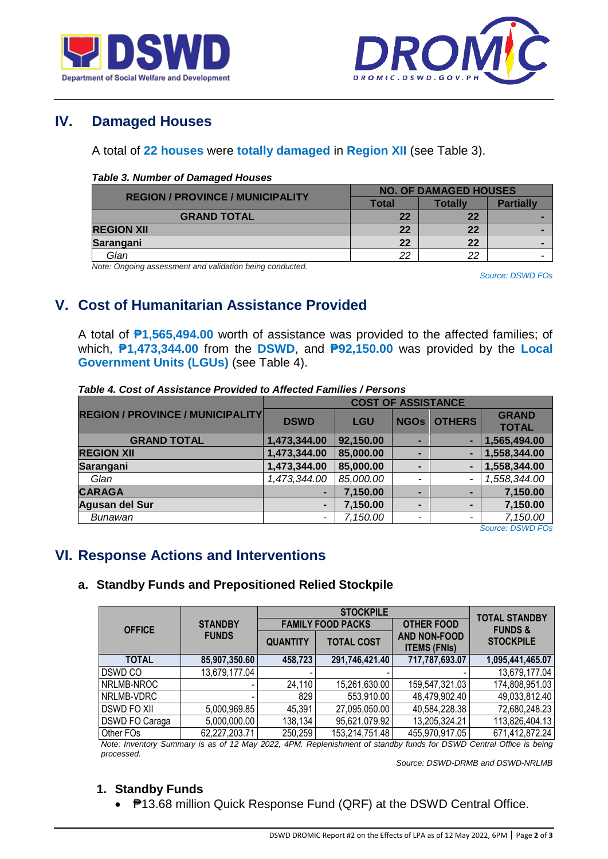



# **IV. Damaged Houses**

### A total of **22 houses** were **totally damaged** in **Region XII** (see Table 3).

#### *Table 3. Number of Damaged Houses*

| <b>REGION / PROVINCE / MUNICIPALITY</b> | <b>NO. OF DAMAGED HOUSES</b> |         |                  |  |
|-----------------------------------------|------------------------------|---------|------------------|--|
|                                         | Total                        | Totallv | <b>Partially</b> |  |
| <b>GRAND TOTAL</b>                      | 22                           | 22      |                  |  |
| <b>REGION XII</b>                       | 22                           | 22      |                  |  |
| Sarangani                               | 22                           | 22      |                  |  |
| Glan                                    | ົດດ                          | 22      |                  |  |

*Note: Ongoing assessment and validation being conducted.*

*Source: DSWD FOs*

# **V. Cost of Humanitarian Assistance Provided**

A total of **₱1,565,494.00** worth of assistance was provided to the affected families; of which, **₱1,473,344.00** from the **DSWD**, and **₱92,150.00** was provided by the **Local Government Units (LGUs)** (see Table 4).

| Table 4. Cost of Assistance Provided to Affected Families / Persons |  |
|---------------------------------------------------------------------|--|
|                                                                     |  |

|                                         | <b>COST OF ASSISTANCE</b> |            |                |                          |                              |
|-----------------------------------------|---------------------------|------------|----------------|--------------------------|------------------------------|
| <b>REGION / PROVINCE / MUNICIPALITY</b> | <b>DSWD</b>               | <b>LGU</b> | <b>NGOs</b>    | <b>OTHERS</b>            | <b>GRAND</b><br><b>TOTAL</b> |
| <b>GRAND TOTAL</b>                      | 1,473,344.00              | 92,150.00  |                |                          | 1,565,494.00                 |
| <b>REGION XII</b>                       | 1,473,344.00              | 85,000.00  | -              |                          | 1,558,344.00                 |
| Sarangani                               | 1,473,344.00              | 85,000.00  | -              |                          | 1,558,344.00                 |
| Glan                                    | 1,473,344.00              | 85,000.00  | ٠              | $\overline{\phantom{a}}$ | 1,558,344.00                 |
| <b>CARAGA</b>                           | -                         | 7,150.00   | -              | -                        | 7,150.00                     |
| Agusan del Sur                          | $\blacksquare$            | 7,150.00   | $\blacksquare$ |                          | 7,150.00                     |
| Bunawan                                 | -                         | 7,150.00   | ٠              |                          | 7,150.00                     |
|                                         |                           |            |                |                          | Courant DOM/D EOC            |

*Source: DSWD FOs*

# **VI. Response Actions and Interventions**

### **a. Standby Funds and Prepositioned Relied Stockpile**

|                       |                |                 | <b>STOCKPILE</b>         |                                            | <b>TOTAL STANDBY</b> |  |
|-----------------------|----------------|-----------------|--------------------------|--------------------------------------------|----------------------|--|
| <b>OFFICE</b>         | <b>STANDBY</b> |                 | <b>FAMILY FOOD PACKS</b> | <b>OTHER FOOD</b>                          | <b>FUNDS &amp;</b>   |  |
|                       | <b>FUNDS</b>   | <b>QUANTITY</b> | <b>TOTAL COST</b>        | <b>AND NON-FOOD</b><br><b>ITEMS (FNIs)</b> | <b>STOCKPILE</b>     |  |
| <b>TOTAL</b>          | 85,907,350.60  | 458,723         | 291,746,421.40           | 717,787,693.07                             | 1,095,441,465.07     |  |
| DSWD CO               | 13,679,177.04  |                 |                          |                                            | 13,679,177.04        |  |
| NRLMB-NROC            |                | 24,110          | 15,261,630.00            | 159,547,321.03                             | 174,808,951.03       |  |
| NRLMB-VDRC            |                | 829             | 553,910.00               | 48,479,902.40                              | 49,033,812.40        |  |
| <b>DSWD FO XII</b>    | 5,000,969.85   | 45,391          | 27,095,050.00            | 40,584,228.38                              | 72,680,248.23        |  |
| <b>DSWD FO Caraga</b> | 5,000,000.00   | 138,134         | 95,621,079.92            | 13,205,324.21                              | 113,826,404.13       |  |
| Other FOs             | 62,227,203.71  | 250,259         | 153,214,751.48           | 455,970,917.05                             | 671,412,872.24       |  |

*Note: Inventory Summary is as of 12 May 2022, 4PM. Replenishment of standby funds for DSWD Central Office is being processed.*

*Source: DSWD-DRMB and DSWD-NRLMB*

## **1. Standby Funds**

● **₱13.68 million Quick Response Fund (QRF) at the DSWD Central Office.**